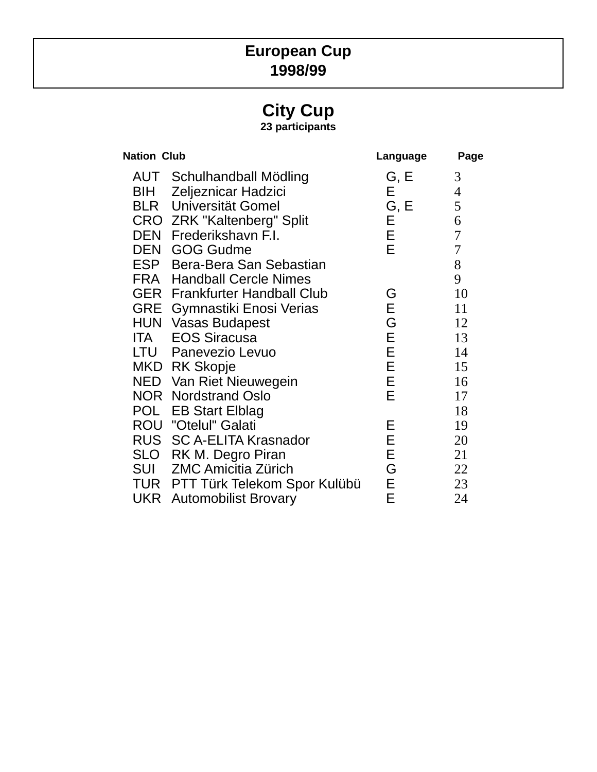## **European Cup 1998/99**

# **City Cup**

**23 participants**

| <b>Nation Club</b> |                                      | Language | Page             |
|--------------------|--------------------------------------|----------|------------------|
|                    | <b>AUT</b> Schulhandball Mödling     | G, E     | 3                |
| BIH                | Zeljeznicar Hadzici                  | E.       | $\overline{4}$   |
|                    | <b>BLR</b> Universität Gomel         | G, E     | 5                |
|                    | <b>CRO ZRK "Kaltenberg" Split</b>    | Е        | 6                |
|                    | DEN Frederikshavn F.I.               | Е.       | $\overline{7}$   |
|                    | <b>DEN GOG Gudme</b>                 | E        | $\boldsymbol{7}$ |
|                    | ESP Bera-Bera San Sebastian          |          | 8                |
|                    | <b>FRA</b> Handball Cercle Nimes     |          | 9                |
|                    | <b>GER</b> Frankfurter Handball Club | G        | 10               |
|                    | <b>GRE</b> Gymnastiki Enosi Verias   | E        | 11               |
|                    | <b>HUN Vasas Budapest</b>            | G        | 12               |
| <b>ITA</b>         | <b>EOS Siracusa</b>                  | E        | 13               |
|                    | LTU Panevezio Levuo                  | Е        | 14               |
|                    | MKD RK Skopje                        | E        | 15               |
|                    | NED Van Riet Nieuwegein              | E        | 16               |
|                    | <b>NOR</b> Nordstrand Oslo           | E        | 17               |
|                    | POL EB Start Elblag                  |          | 18               |
|                    | <b>ROU "Otelul" Galati</b>           | Е        | 19               |
|                    | RUS SC A-ELITA Krasnador             | Е        | 20               |
|                    | SLO RK M. Degro Piran                | Е        | 21               |
|                    | <b>SUI</b> ZMC Amicitia Zürich       | G        | 22               |
|                    | TUR PTT Türk Telekom Spor Kulübü     | E.       | 23               |
|                    | <b>UKR</b> Automobilist Brovary      | Е        | 24               |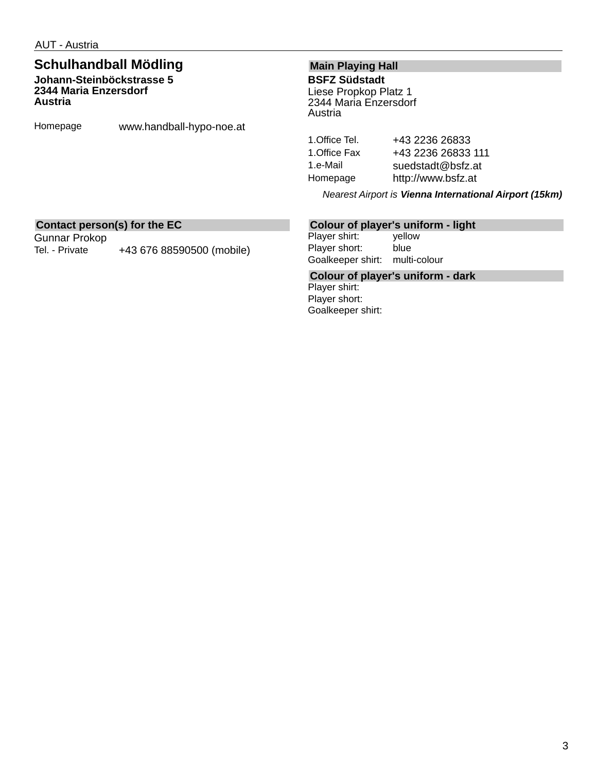### **Schulhandball Mödling Johann-Steinböckstrasse 5 2344 Maria Enzersdorf**

**Austria**

Homepage www.handball-hypo-noe.at

### **Main Playing Hall BSFZ Südstadt**

Liese Propkop Platz 1 2344 Maria Enzersdorf Austria

1. Office Tel. +43 2236 26833 1. Office Fax +43 2236 26833 111 1.e-Mail suedstadt@bsfz.at Homepage http://www.bsfz.at

*Nearest Airport is Vienna International Airport (15km)*

### **Contact person(s) for the EC**

Gunnar Prokop Tel. - Private +43 676 88590500 (mobile)

### **Colour of player's uniform - light**

Player shirt: yellow Player short: blue Goalkeeper shirt: multi-colour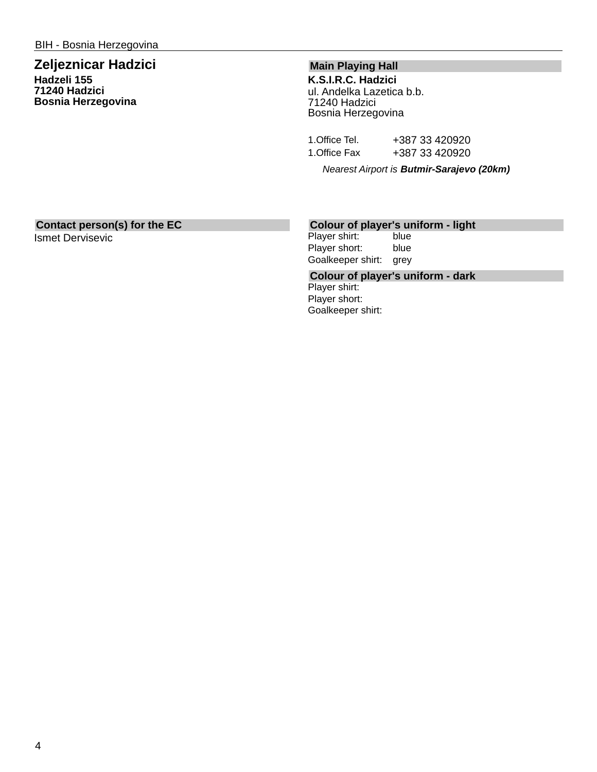### **Zeljeznicar Hadzici Hadzeli 155 71240 Hadzici Bosnia Herzegovina**

### **Main Playing Hall**

**K.S.I.R.C. Hadzici** ul. Andelka Lazetica b.b. 71240 Hadzici Bosnia Herzegovina

| 1.Office Tel. | +387 33 420920 |
|---------------|----------------|
| 1.Office Fax  | +387 33 420920 |

*Nearest Airport is Butmir-Sarajevo (20km)*

### **Contact person(s) for the EC**

Ismet Dervisevic

### **Colour of player's uniform - light**

Player shirt: blue Player short: blue Goalkeeper shirt: grey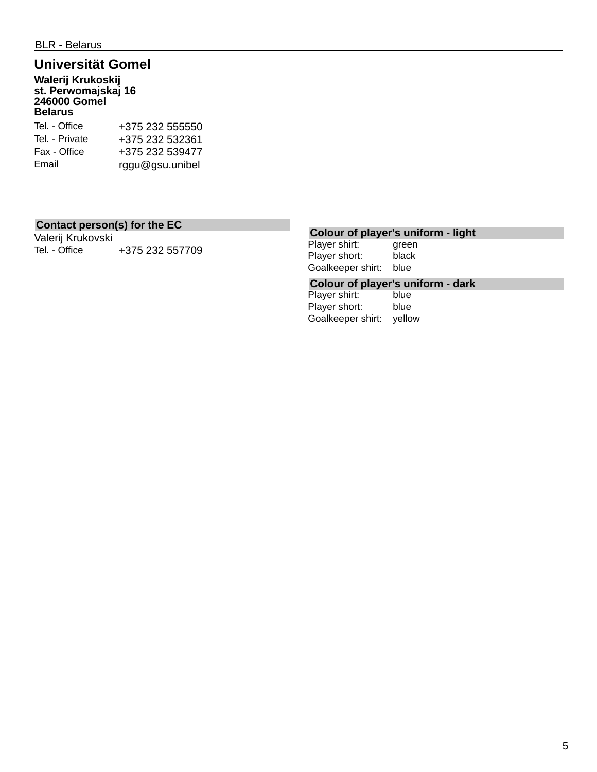## **Universität Gomel**

**Walerij Krukoskij st. Perwomajskaj 16 246000 Gomel Belarus**

| Tel. - Office  | +375 232 555550 |
|----------------|-----------------|
| Tel. - Private | +375 232 532361 |
| Fax - Office   | +375 232 539477 |
| Email          | rggu@gsu.unibel |

### **Contact person(s) for the EC**

Valerij Krukovski Tel. - Office  $+375232557709$ 

### **Colour of player's uniform - light**

Player shirt: green Player short: black Goalkeeper shirt: blue

# **Colour of player's uniform - dark**

Player shirt: Player short: blue Goalkeeper shirt: yellow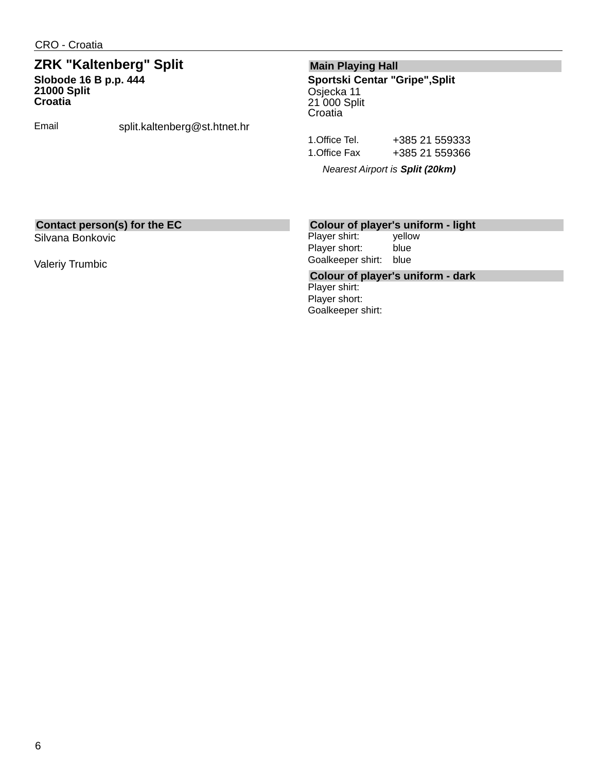### **ZRK "Kaltenberg" Split Slobode 16 B p.p. 444 21000 Split Croatia**

Email split.kaltenberg@st.htnet.hr

### **Main Playing Hall**

**Sportski Centar "Gripe",Split** Osjecka 11 21 000 Split **Croatia** 

1.Office Tel. +385 21 559333 1.Office Fax +385 21 559366

*Nearest Airport is Split (20km)*

### **Contact person(s) for the EC**

Silvana Bonkovic

Valeriy Trumbic

### **Colour of player's uniform - light**

Player shirt: yellow Player short: blue Goalkeeper shirt: blue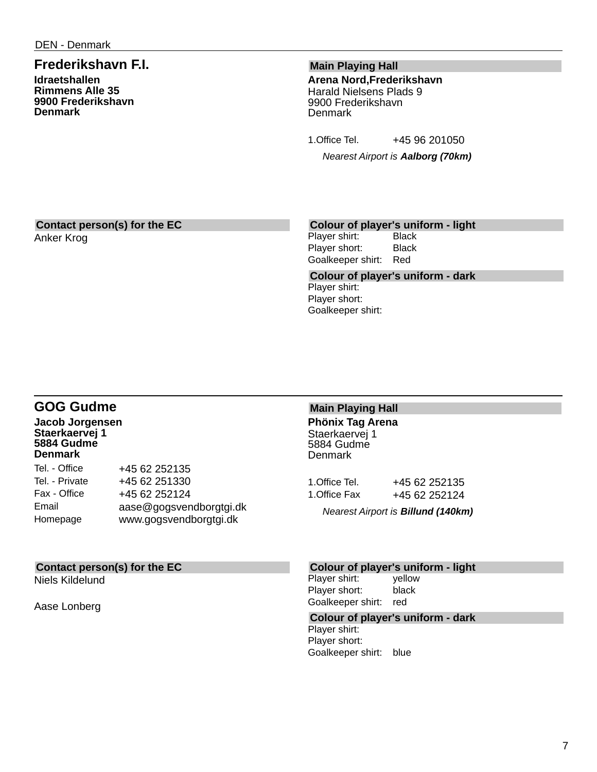### **Frederikshavn F.I.**

**Idraetshallen Rimmens Alle 35 9900 Frederikshavn Denmark**

### **Main Playing Hall**

**Arena Nord,Frederikshavn** Harald Nielsens Plads 9 9900 Frederikshavn **Denmark** 

1. Office Tel. +45 96 201050

*Nearest Airport is Aalborg (70km)*

### **Contact person(s) for the EC**

Anker Krog

### **Colour of player's uniform - light**

Player shirt: Black Player short: Black Goalkeeper shirt: Red

**Colour of player's uniform - dark** Player shirt: Player short: Goalkeeper shirt:

### **GOG Gudme**

**Jacob Jorgensen Staerkaervej 1 5884 Gudme Denmark**

| +45 62 252135           |
|-------------------------|
| +45 62 251330           |
| +45 62 252124           |
| aase@gogsvendborgtgi.dk |
| www.gogsvendborgtgi.dk  |
|                         |

### **Contact person(s) for the EC**

Niels Kildelund

Aase Lonberg

#### **Main Playing Hall Phönix Tag Arena** Staerkaervej 1 5884 Gudme

**Denmark** 

| 1.Office Tel. | +45 62 252135 |
|---------------|---------------|
| 1.Office Fax  | +45 62 252124 |

*Nearest Airport is Billund (140km)*

#### **Colour of player's uniform - light**

Player shirt: yellow Player short: black Goalkeeper shirt: red

#### **Colour of player's uniform - dark**

Player shirt: Player short: Goalkeeper shirt: blue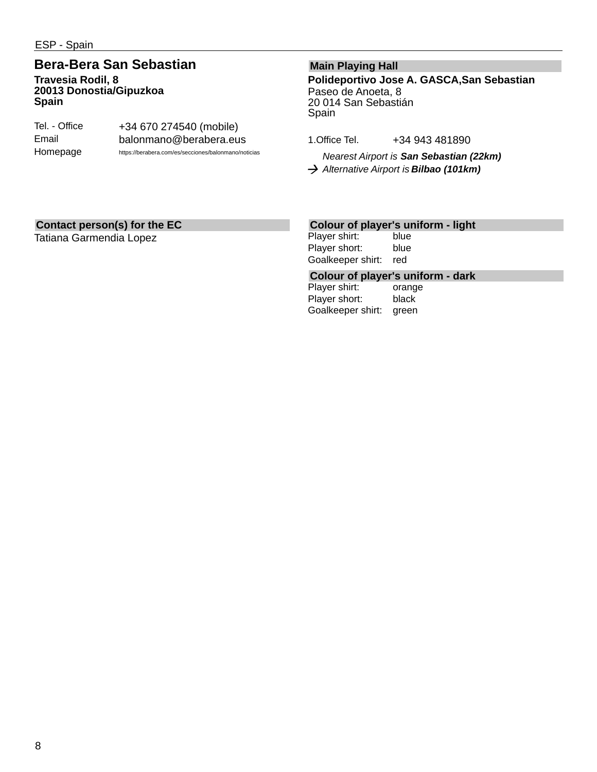### **Bera-Bera San Sebastian Travesia Rodil, 8 20013 Donostia/Gipuzkoa Spain**

| Tel. - Office | +34 670 274540 (mobile)                              |
|---------------|------------------------------------------------------|
| Email         | balonmano@berabera.eus                               |
| Homepage      | https://berabera.com/es/secciones/balonmano/noticias |

### **Main Playing Hall**

**Polideportivo Jose A. GASCA,San Sebastian** Paseo de Anoeta, 8 20 014 San Sebastián Spain

1.Office Tel. +34 943 481890

*Nearest Airport is San Sebastian (22km) Alternative Airport is Bilbao (101km)*

### **Contact person(s) for the EC**

Tatiana Garmendia Lopez

### **Colour of player's uniform - light**

Player shirt: blue Player short: blue Goalkeeper shirt: red

# **Colour of player's uniform - dark**

Player shirt: Player short: black Goalkeeper shirt: green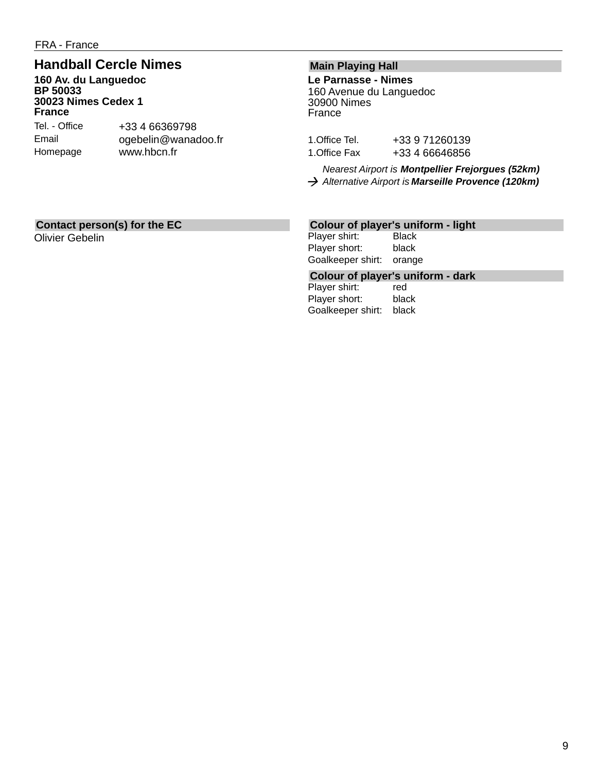### **Handball Cercle Nimes**

**160 Av. du Languedoc BP 50033 30023 Nimes Cedex 1 France**

Tel. - Office Email Homepage +33 4 66369798 ogebelin@wanadoo.fr www.hbcn.fr

### **Main Playing Hall**

**Le Parnasse - Nimes** 160 Avenue du Languedoc 30900 Nimes France

1.Office Tel. +33 9 71260139 1. Office Fax +33 4 66646856

*Nearest Airport is Montpellier Frejorgues (52km) Alternative Airport is Marseille Provence (120km)*

### **Contact person(s) for the EC**

Olivier Gebelin

# **Colour of player's uniform - light**

Player shirt: Player short: black Goalkeeper shirt: orange

## **Colour of player's uniform - dark**

Player shirt: Player short: black Goalkeeper shirt: black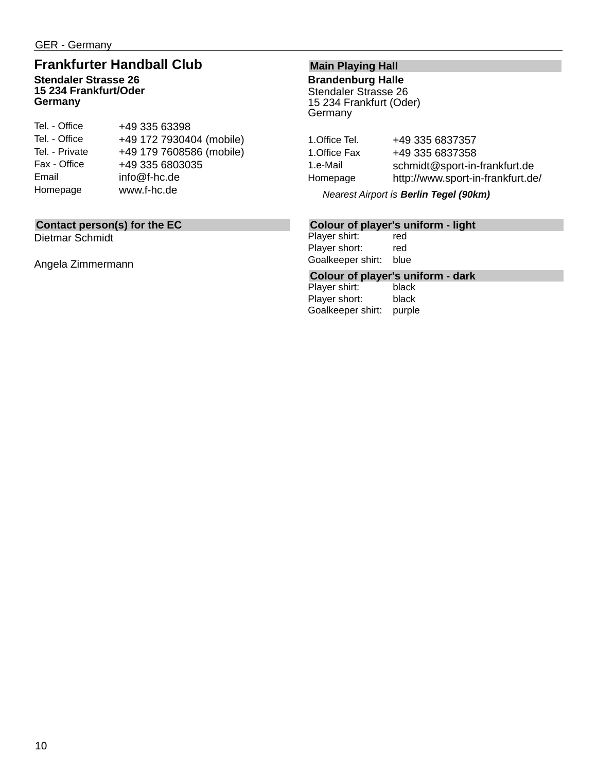### **Frankfurter Handball Club Stendaler Strasse 26 15 234 Frankfurt/Oder Germany**

| Tel. - Office  | +49 335 63398            |
|----------------|--------------------------|
| Tel. - Office  | +49 172 7930404 (mobile) |
| Tel. - Private | +49 179 7608586 (mobile) |
| Fax - Office   | +49 335 6803035          |
| Email          | info@f-hc.de             |
| Homepage       | www.f-hc.de              |

### **Contact person(s) for the EC**

Dietmar Schmidt

Angela Zimmermann

### **Main Playing Hall**

**Brandenburg Halle** Stendaler Strasse 26 15 234 Frankfurt (Oder) **Germany** 

| +49 335 6837357                   |
|-----------------------------------|
| +49 335 6837358                   |
| schmidt@sport-in-frankfurt.de     |
| http://www.sport-in-frankfurt.de/ |
|                                   |

*Nearest Airport is Berlin Tegel (90km)*

### **Colour of player's uniform - light**

Player shirt: red Player short: red Goalkeeper shirt: blue

## **Colour of player's uniform - dark**

Player shirt: Player short: black Goalkeeper shirt: purple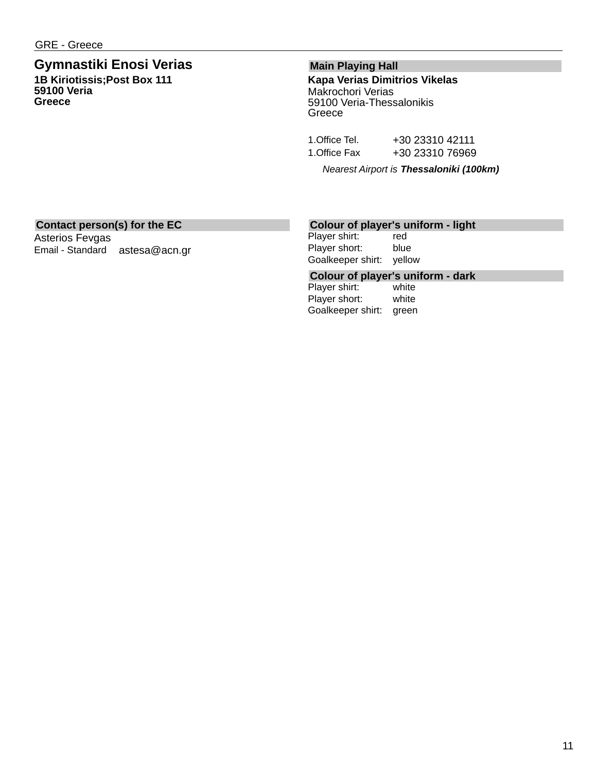### **Gymnastiki Enosi Verias 1B Kiriotissis;Post Box 111 59100 Veria Greece**

### **Main Playing Hall**

**Kapa Verias Dimitrios Vikelas** Makrochori Verias 59100 Veria-Thessalonikis **Greece** 

| 1.Office Tel. | +30 23310 42111 |
|---------------|-----------------|
| 1.Office Fax  | +30 23310 76969 |

*Nearest Airport is Thessaloniki (100km)*

### **Contact person(s) for the EC**

Asterios Fevgas Email - Standard astesa@acn.gr

### **Colour of player's uniform - light**

Player shirt: red Player short: blue Goalkeeper shirt: yellow

## **Colour of player's uniform - dark**

Player shirt: Player short: white Goalkeeper shirt: green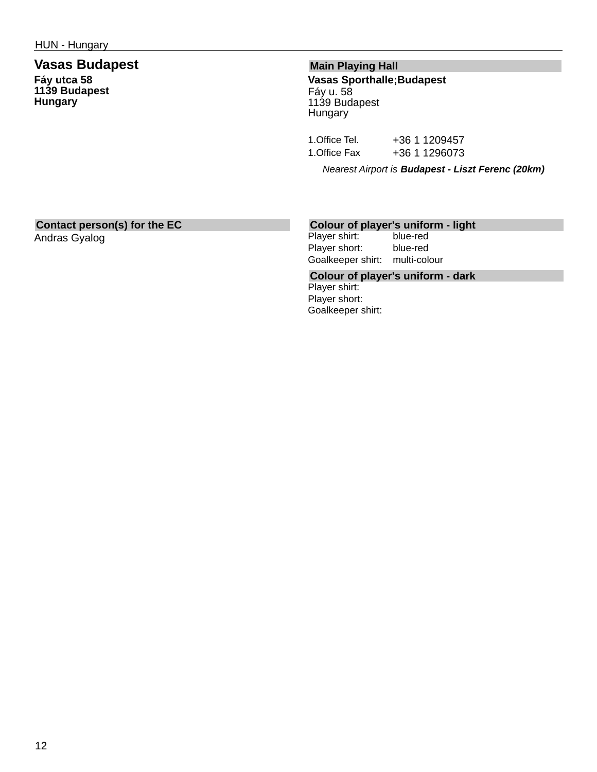### **Vasas Budapest Fáy utca 58 1139 Budapest Hungary**

### **Main Playing Hall**

**Vasas Sporthalle;Budapest** Fáy u. 58 1139 Budapest Hungary

1. Office Tel. +36 1 1209457 1. Office Fax +36 1 1296073

*Nearest Airport is Budapest - Liszt Ferenc (20km)*

### **Contact person(s) for the EC**

Andras Gyalog

# **Colour of player's uniform - light**

Player shirt: Player short: blue-red Goalkeeper shirt: multi-colour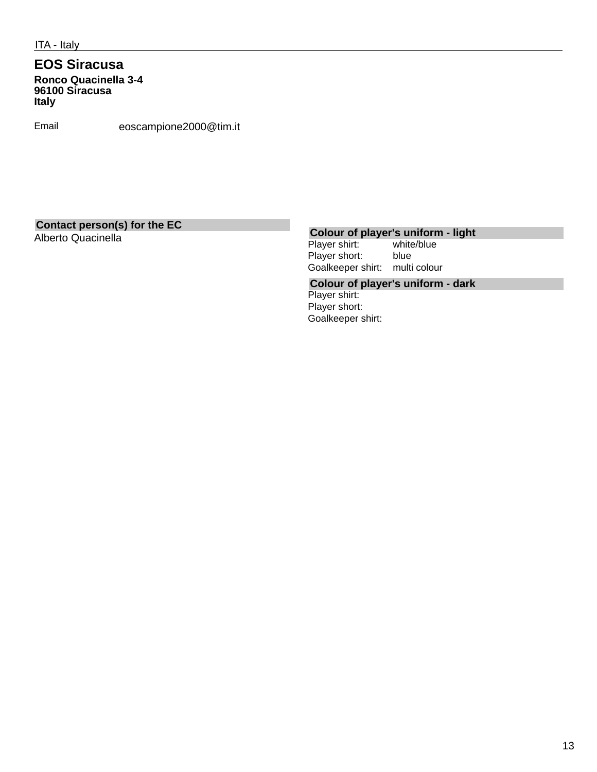### **EOS Siracusa Ronco Quacinella 3-4 96100 Siracusa Italy**

Email eoscampione2000@tim.it

# **Contact person(s) for the EC**

# **Colour of player's uniform - light**<br>Player shirt: white/blue

Player shirt: Player short: blue Goalkeeper shirt: multi colour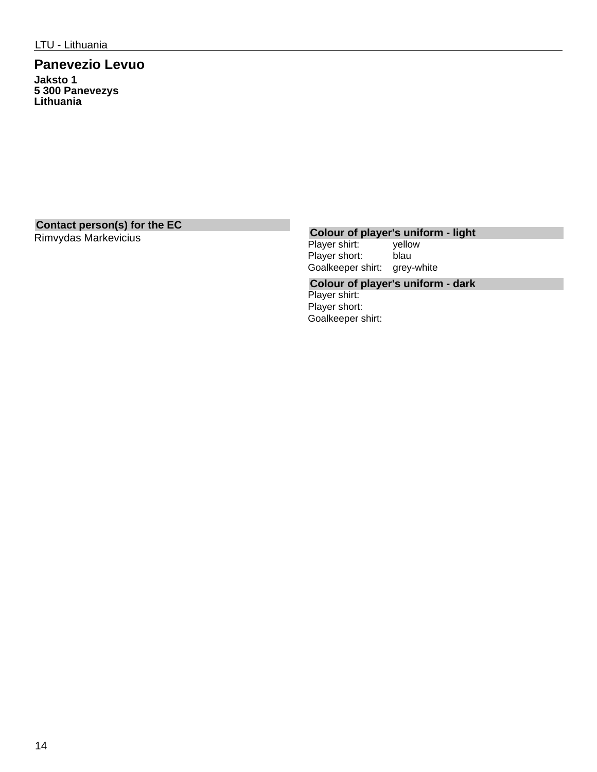### **Panevezio Levuo Jaksto 1 5 300 Panevezys Lithuania**

# **Contact person(s) for the EC**

# **Colour of player's uniform - light**<br>Player shirt: vellow

Player shirt: Player short: blau Goalkeeper shirt: grey-white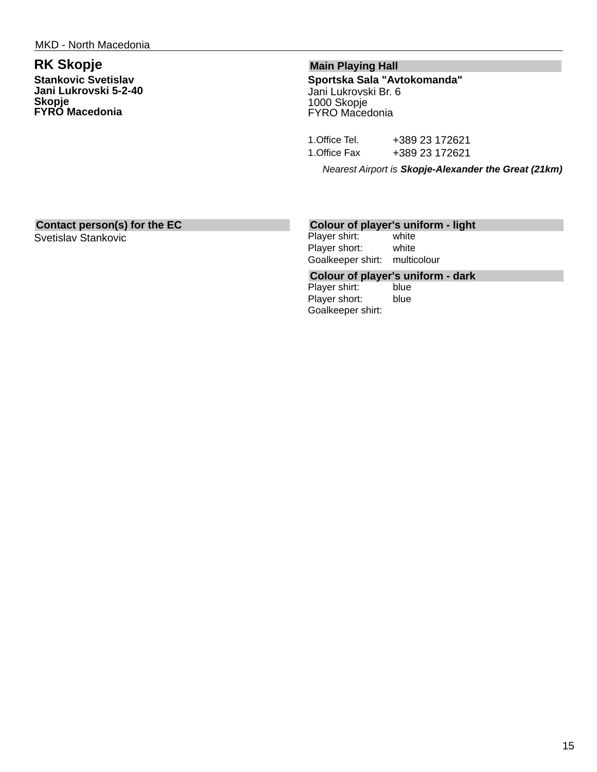## **RK Skopje**

**Stankovic Svetislav Jani Lukrovski 5-2-40 Skopje FYRO Macedonia**

### **Main Playing Hall**

**Sportska Sala "Avtokomanda"** Jani Lukrovski Br. 6 1000 Skopje FYRO Macedonia

| 1. Office Tel. | +389 23 172621 |
|----------------|----------------|
| 1.Office Fax   | +389 23 172621 |

*Nearest Airport is Skopje-Alexander the Great (21km)*

### **Contact person(s) for the EC**

Svetislav Stankovic

### **Colour of player's uniform - light**

Player shirt: white Player short: white Goalkeeper shirt: multicolour

# **Colour of player's uniform - dark**

Player shirt: Player short: blue Goalkeeper shirt: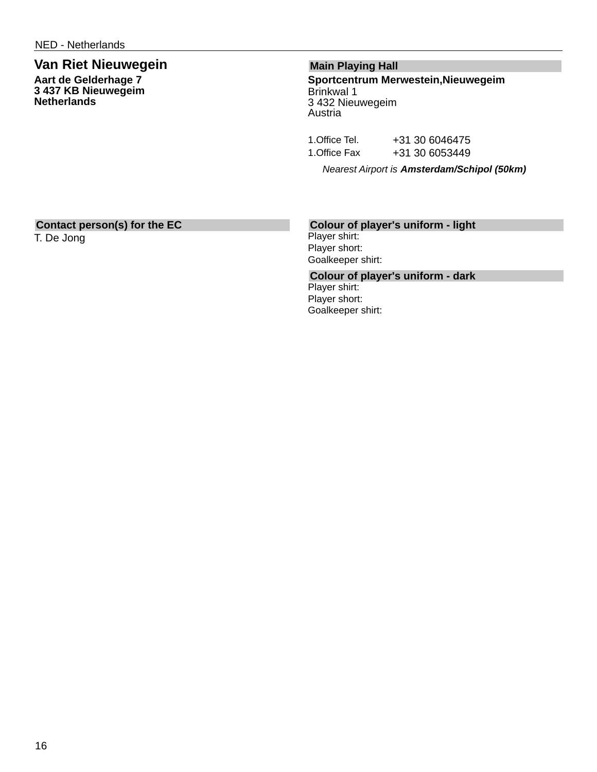### **Van Riet Nieuwegein Aart de Gelderhage 7**

**3 437 KB Nieuwegeim Netherlands**

### **Main Playing Hall**

**Sportcentrum Merwestein,Nieuwegeim** Brinkwal 1 3 432 Nieuwegeim Austria

| 1.Office Tel. | +31 30 6046475 |
|---------------|----------------|
| 1.Office Fax  | +31 30 6053449 |

*Nearest Airport is Amsterdam/Schipol (50km)*

### **Contact person(s) for the EC**

T. De Jong

### **Colour of player's uniform - light**

Player shirt: Player short: Goalkeeper shirt: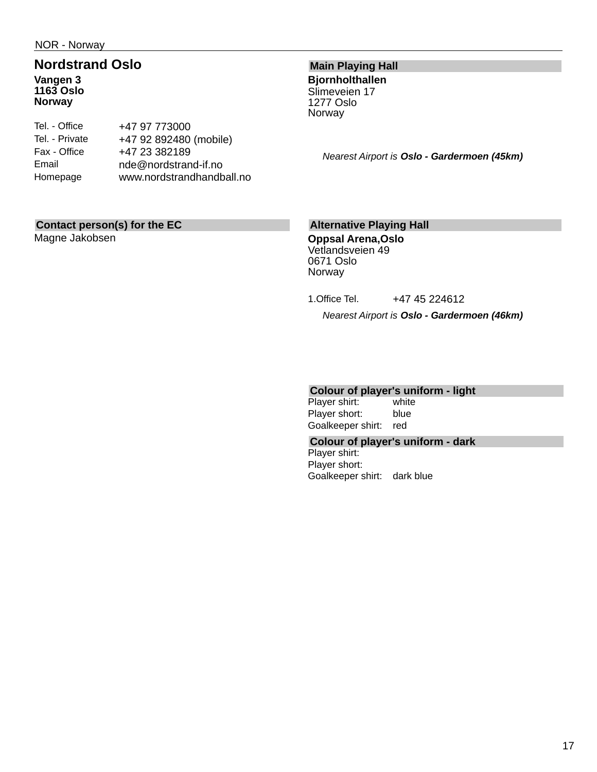### **Nordstrand Oslo Vangen 3 1163 Oslo Norway**

| Tel. - Office  | +47 97 773000             |
|----------------|---------------------------|
| Tel. - Private | +47 92 892480 (mobile)    |
| Fax - Office   | +47 23 382189             |
| Email          | nde@nordstrand-if.no      |
| Homepage       | www.nordstrandhandball.no |
|                |                           |

### **Main Playing Hall**

**Bjornholthallen** Slimeveien 17 1277 Oslo Norway

*Nearest Airport is Oslo - Gardermoen (45km)*

### **Contact person(s) for the EC**

Magne Jakobsen

### **Alternative Playing Hall**

**Oppsal Arena,Oslo** Vetlandsveien 49 0671 Oslo Norway

1. Office Tel. +47 45 224612

*Nearest Airport is Oslo - Gardermoen (46km)*

# **Colour of player's uniform - light**

Player shirt: Player short: blue Goalkeeper shirt: red

### **Colour of player's uniform - dark**

Player shirt: Player short: Goalkeeper shirt: dark blue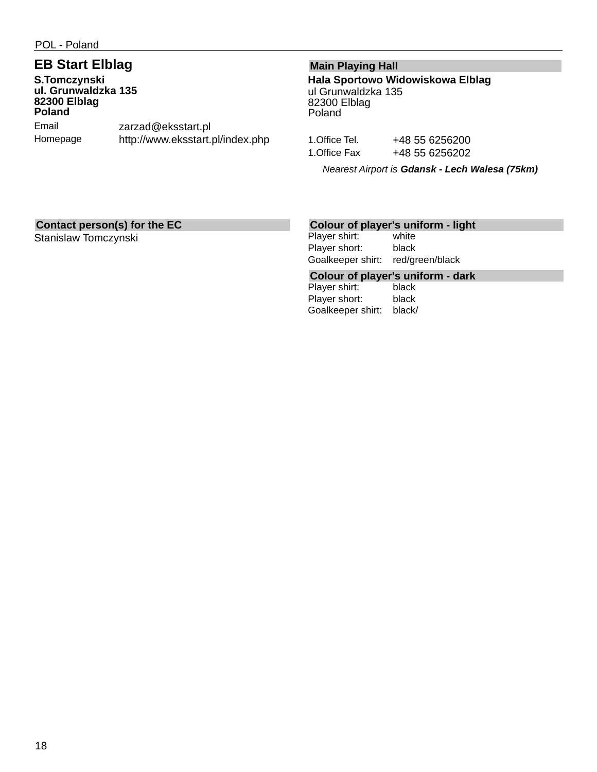## **EB Start Elblag**

**S.Tomczynski ul. Grunwaldzka 135 82300 Elblag Poland** Email Homepage zarzad@eksstart.pl http://www.eksstart.pl/index.php

### **Main Playing Hall**

**Hala Sportowo Widowiskowa Elblag** ul Grunwaldzka 135 82300 Elblag Poland

1. Office Tel. +48 55 6256200 1. Office Fax +48 55 6256202

*Nearest Airport is Gdansk - Lech Walesa (75km)*

### **Contact person(s) for the EC**

Stanislaw Tomczynski

### **Colour of player's uniform - light**

Player shirt: white Player short: black Goalkeeper shirt: red/green/black

## **Colour of player's uniform - dark**

Player shirt: Player short: black Goalkeeper shirt: black/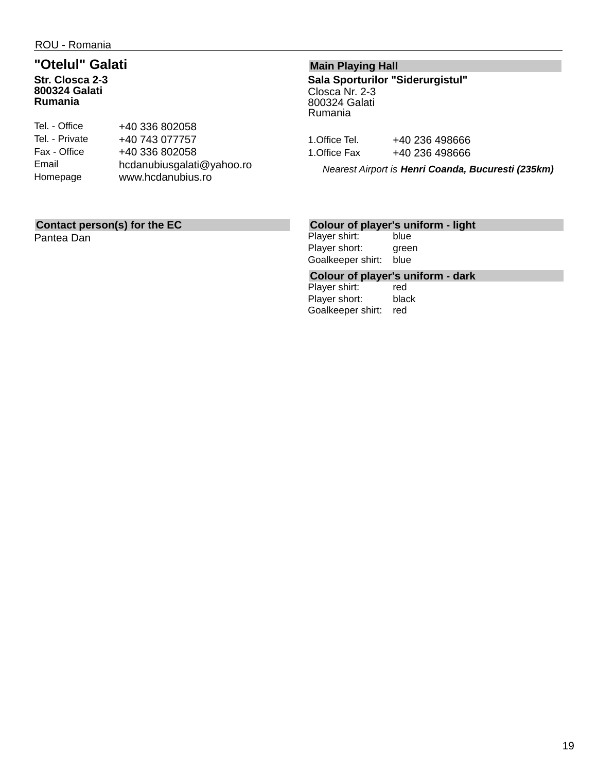### **"Otelul" Galati Str. Closca 2-3 800324 Galati Rumania**

| Tel. - Office  | +40 336 802058            |
|----------------|---------------------------|
| Tel. - Private | +40 743 077757            |
| Fax - Office   | +40 336 802058            |
| Email          | hcdanubiusgalati@yahoo.ro |
| Homepage       | www.hcdanubius.ro         |
|                |                           |

### **Contact person(s) for the EC**

Pantea Dan

### **Main Playing Hall**

**Sala Sporturilor "Siderurgistul"** Closca Nr. 2-3 800324 Galati Rumania

1. Office Tel. +40 236 498666 1. Office Fax +40 236 498666

*Nearest Airport is Henri Coanda, Bucuresti (235km)*

### **Colour of player's uniform - light**

Player shirt: blue<br>Player short: green Player short: Goalkeeper shirt: blue

## **Colour of player's uniform - dark**

Player shirt: Player short: black Goalkeeper shirt: red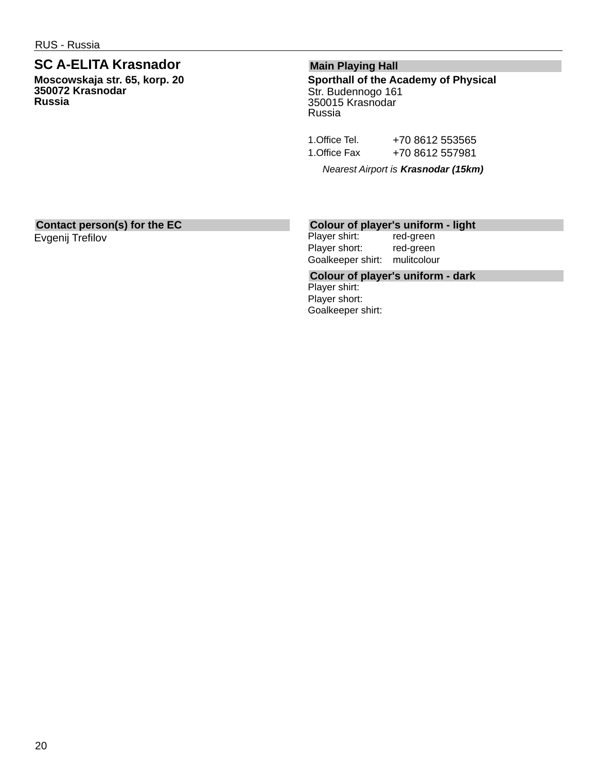### **SC A-ELITA Krasnador**

**Moscowskaja str. 65, korp. 20 350072 Krasnodar Russia**

### **Main Playing Hall**

**Sporthall of the Academy of Physical** Str. Budennogo 161 350015 Krasnodar Russia

1. Office Tel. +70 8612 553565 1. Office Fax +70 8612 557981

*Nearest Airport is Krasnodar (15km)*

### **Contact person(s) for the EC**

Evgenij Trefilov

### **Colour of player's uniform - light**

Player shirt: red-green Player short: red-green Goalkeeper shirt: mulitcolour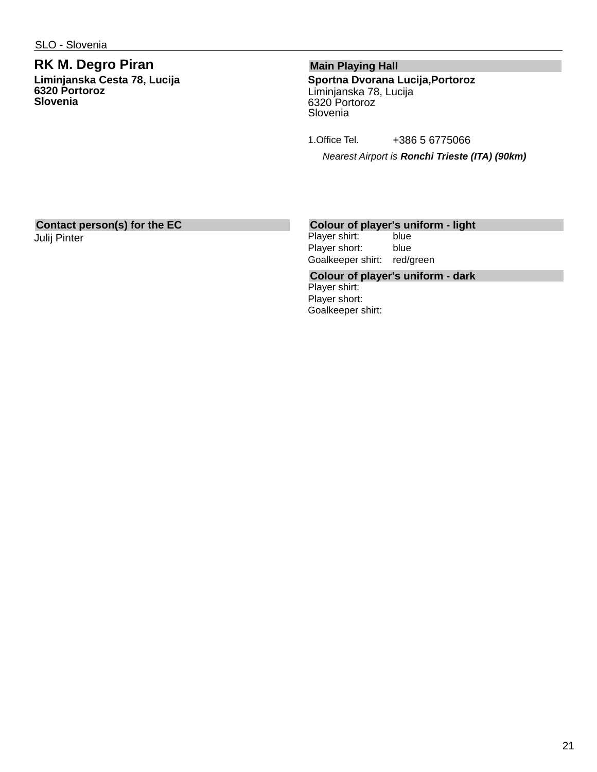### **RK M. Degro Piran Liminjanska Cesta 78, Lucija 6320 Portoroz Slovenia**

### **Main Playing Hall**

**Sportna Dvorana Lucija,Portoroz** Liminjanska 78, Lucija 6320 Portoroz Slovenia

1.Office Tel. +386 5 6775066

*Nearest Airport is Ronchi Trieste (ITA) (90km)*

### **Contact person(s) for the EC** Julij Pinter

# **Colour of player's uniform - light**

Player shirt: Player short: blue Goalkeeper shirt: red/green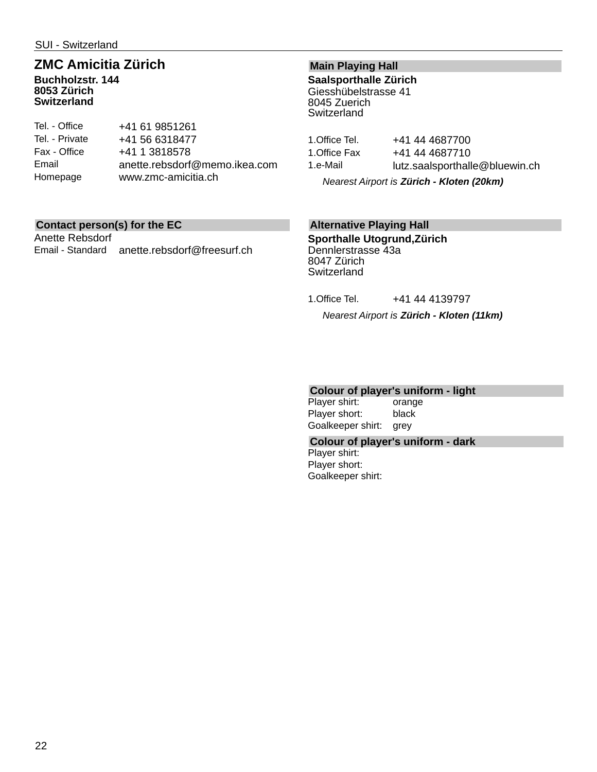## **ZMC Amicitia Zürich**

**Buchholzstr. 144 8053 Zürich Switzerland**

| Tel. - Office  | +41 61 9851261                |
|----------------|-------------------------------|
| Tel. - Private | +41 56 6318477                |
| Fax - Office   | +41 1 3818578                 |
| Email          | anette.rebsdorf@memo.ikea.com |
| Homepage       | www.zmc-amicitia.ch           |
|                |                               |

### **Contact person(s) for the EC**

Anette Rebsdorf Email - Standard anette.rebsdorf@freesurf.ch

### **Main Playing Hall**

**Saalsporthalle Zürich** Giesshübelstrasse 41 8045 Zuerich **Switzerland** 

| 1.Office Tel. | +41 44 4687700                 |
|---------------|--------------------------------|
| 1.Office Fax  | +41 44 4687710                 |
| 1.e-Mail      | lutz.saalsporthalle@bluewin.ch |

*Nearest Airport is Zürich - Kloten (20km)*

### **Alternative Playing Hall**

**Sporthalle Utogrund,Zürich** Dennlerstrasse 43a 8047 Zürich **Switzerland** 

1.Office Tel. +41 44 4139797

*Nearest Airport is Zürich - Kloten (11km)*

### **Colour of player's uniform - light**

Player shirt: orange Player short: black Goalkeeper shirt: grey

### **Colour of player's uniform - dark**

Player shirt: Player short: Goalkeeper shirt: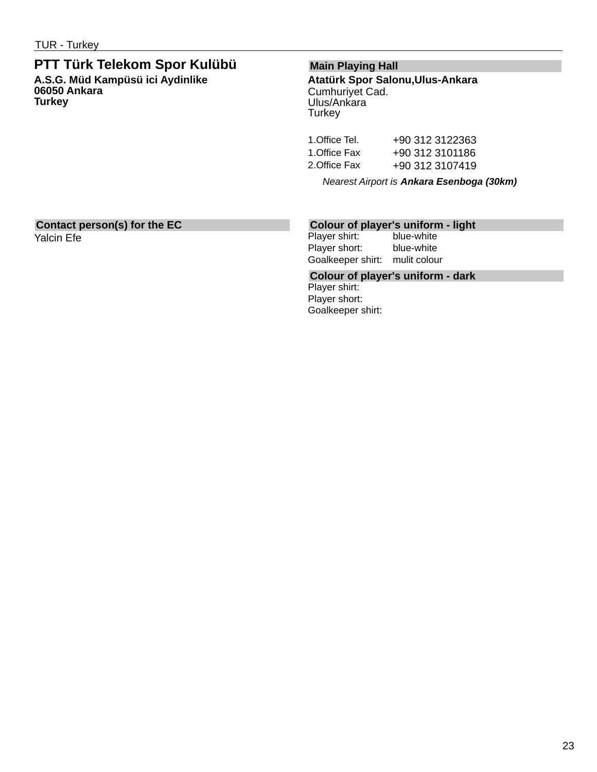## **PTT Türk Telekom Spor Kulübü**

**A.S.G. Müd Kampüsü ici Aydinlike 06050 Ankara Turkey**

### **Main Playing Hall**

**Atatürk Spor Salonu,Ulus-Ankara** Cumhuriyet Cad. Ulus/Ankara **Turkey** 

| 1.Office Tel. | +90 312 3122363 |
|---------------|-----------------|
| 1.Office Fax  | +90 312 3101186 |
| 2. Office Fax | +90 312 3107419 |

*Nearest Airport is Ankara Esenboga (30km)*

#### **Contact person(s) for the EC** Yalcin Efe

**Colour of player's uniform - light**

Player shirt: Player short: blue-white Goalkeeper shirt: mulit colour